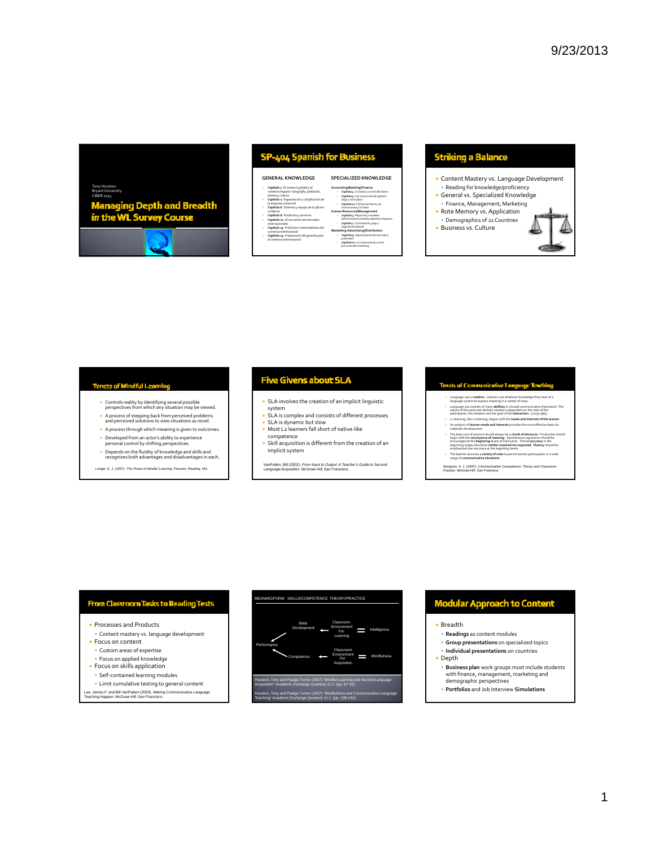# Tony Houston BryantUniversity **Managing Depth and Breadth<br>in the WL Survey Course**



## SP-404 Spanish for Business

#### **GENERAL KNOWLEDGE**

- *Capítulo 1. El comercio global y el contexto hispano:Geografía, población,* idioma y cultura<br>• Capítulo 2. Organización y clasificación de<br>• Capítulo 6. Sistemas y equipo de la oficina<br>• Capítulo 6. Sistemas y equipo de la oficina
- *moderna Capítulo 8. Productos y servicios Capítulo 12. Al encuentro de mercados*
- *internacionales Capítulo 13. Prácticas e intermediarios del*

*comercio internacional Capítulo 14. Preparación del gerente para el comercio internacional*

### **SPECIALIZED KNOWLEDGE Accounting/Banking/Finance**

 *Capítulo4. Custodiay control del dinero Capítulo5. Las inversionesde capital a largo y corto plazo Capítulo11. El financiamiento,los inversionistas y la bolsa* **Human Resources/Management** *Capítulo3. Requisitos y modelos administrativos estadounidensese hispanos Capítulo7. Contratación,pago y negociaciónlaboral* **Marketing:Advertizing/Distribution** *Capítulo9. Segmentacióndel mercado y publicidad Capítulo10. La compraventay otras funcionesdel marketing*

# **Striking a Balance**

**Content Mastery vs. Language Development**  Reading for knowledge/proficiency General vs. Specialized Knowledge Finance, Management, Marketing Rote Memory vs. Application Demographics of 21 Countries **Business vs. Culture** 

- **Tenets of Mindful Learning** 
	- Controls reality by identifying several possible perspectives from which any situation may be viewed.
	- A process of stepping back from perceived problems and perceived solutions to view situations as novel.
	- A process through which meaning is given to outcomes.
	- Developed from an actor's ability to experience personal control by shifting perspectives.
	- Depends on the fluidity of knowledge and skills and recognizes both advantages and disadvantages in each.

Langer, E. J. (1997). *The Power of Mindful Learning*. Peruses: Reading, MA.

### **Five Givens about SLA**

- SLA involves the creation of an implicit linguistic
- system SLA is complex and consists of different processes SLA is dynamic but slow
- Most L2 learners fall short of native-like competence
- Skill acquisition is different from the creation of an implicit system

VanPatten, Bill (2002). *From Input to Output: A Teacher's Guide to Second Language Acquisition*. McGraw-Hill. San Francisco.

### **Tensis of Communicative Language Tes**

- 
- Language use is creative . Learners use whatever knowledge they have of a<br>larguage system to express meaning in a variety of ways.<br><br>Language use consists of many **abilities** in a broad communicative framework. The<br>nature o
- La learning, like La learning, begins with the **needs and interests of the learner.**<br>An analysis of **learner needs and interests** provides the most effective basis for
- materials development.<br>The basic unit of practice should always be a chunk of discourse. Production should<br>begin with the conveysnes of meaning. Sportaneous expression should be<br>equinival the beginning levels of instructio
- The teacher assumes a **variety of roles** to permit learner participation in a wide range of **communicative situations**.
- Savignon, S. J. (1997). *Communicative Competence: Theory and Classroom Practice*. McGraw-Hill. San Francisco.

### From Classroom Tasks to Reading Tests

- **Processes and Products**
- Content mastery vs. language development
- **Focus on content**
- Custom areas of expertise
- Focus on applied knowledge **Focus on skills application**
- Self‐contained learning modules
- Limit cumulative testing to general content
- Lee, James F. and Bill VanPatten (2003). *Making Communicative Language Teaching Happen.* McGraw-Hill. San Francisco.



# Modular Approach to Content

Breadth

- **Readings** as content modules
- **Group presentations** on specialized topics
- **Individual presentations** on countries

**Depth** 

- **Business plan** work groups must include students with finance, management, marketing and demographic perspectives
- **Portfolios** and Job Interview **Simulations**